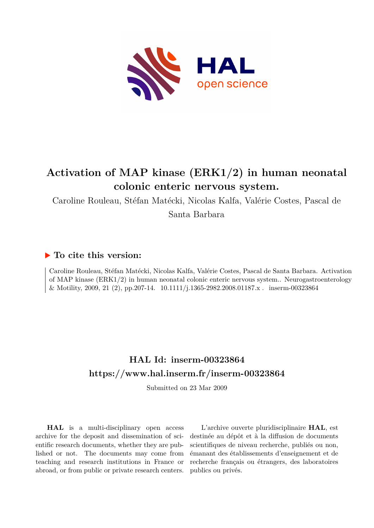

# **Activation of MAP kinase (ERK1/2) in human neonatal colonic enteric nervous system.**

Caroline Rouleau, Stéfan Matécki, Nicolas Kalfa, Valérie Costes, Pascal de

Santa Barbara

## **To cite this version:**

Caroline Rouleau, Stéfan Matécki, Nicolas Kalfa, Valérie Costes, Pascal de Santa Barbara. Activation of MAP kinase (ERK1/2) in human neonatal colonic enteric nervous system.. Neurogastroenterology  $\&$  Motility, 2009, 21 (2), pp.207-14.  $10.1111/j.1365-2982.2008.01187.x$ . inserm-00323864

## **HAL Id: inserm-00323864 <https://www.hal.inserm.fr/inserm-00323864>**

Submitted on 23 Mar 2009

**HAL** is a multi-disciplinary open access archive for the deposit and dissemination of scientific research documents, whether they are published or not. The documents may come from teaching and research institutions in France or abroad, or from public or private research centers.

L'archive ouverte pluridisciplinaire **HAL**, est destinée au dépôt et à la diffusion de documents scientifiques de niveau recherche, publiés ou non, émanant des établissements d'enseignement et de recherche français ou étrangers, des laboratoires publics ou privés.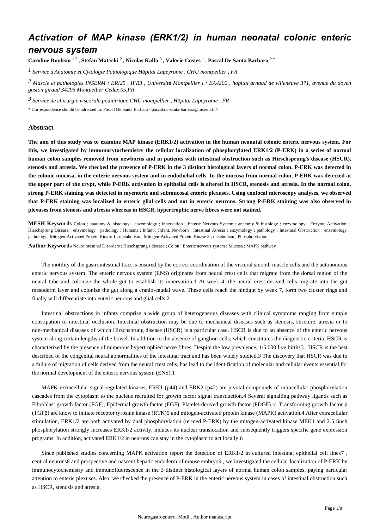## *Activation of MAP kinase (ERK1/2) in human neonatal colonic enteric nervous system*

**Caroline Rouleau** 1 2 **, St**é**fan Mat**é**cki** <sup>2</sup> **, Nicolas Kalfa** <sup>3</sup> **, Val**é**rie Costes** <sup>1</sup> **, Pascal De Santa Barbara** 2 \*

*Service d Anatomie et Cytologie Pathologique 1*  ' *H*ô*pital Lapeyronie , CHU montpellier , FR*

*Muscle et pathologies 2 INSERM : ERI25 , IFR3 , Universit*é *Montpellier I : EA4202 , hopital arnaud de villeneuve 371, avenue du doyen gaston giraud 34295 Montpellier Cedex 05,FR*

*Service de chirurgie visc rale p diatrique 3* <sup>é</sup> <sup>é</sup> *CHU montpellier , H*ô*pital Lapeyronie , FR*

\* Correspondence should be adressed to: Pascal De Santa Barbara <pascal.de-santa-barbara@inserm.fr >

### **Abstract**

**The aim of this study was to examine MAP kinase (ERK1/2) activation in the human neonatal colonic enteric nervous system. For this, we investigated by immunocytochemistry the cellular localization of phosphorylated ERK1/2 (P-ERK) in a series of normal human colon samples removed from newborns and in patients with intestinal obstruction such as Hirschsprung**'**s disease (HSCR), stenosis and atresia. We checked the presence of P-ERK in the 3 distinct histological layers of normal colon. P-ERK was detected in the colonic mucosa, in the enteric nervous system and in endothelial cells. In the mucosa from normal colon, P-ERK was detected at the upper part of the crypt, while P-ERK activation in epithelial cells is altered in HSCR, stenosis and atresia. In the normal colon, strong P-ERK staining was detected in myenteric and submucosal enteric plexuses. Using confocal microscopy analyses, we observed that P-ERK staining was localized in enteric glial cells and not in enteric neurons. Strong P-ERK staining was also observed in plexuses from stenosis and atresia whereas in HSCR, hypertrophic nerve fibres were not stained.**

**MESH Keywords** Colon ; anatomy & histology ; enzymology ; innervation ; Enteric Nervous System ; anatomy & histology ; enzymology ; Enzyme Activation ; Hirschsprung Disease ; enzymology ; pathology ; Humans ; Infant ; Infant, Newborn ; Intestinal Atresia ; enzymology ; pathology ; Intestinal Obstruction ; enzymology ; pathology ; Mitogen-Activated Protein Kinase 1 ; metabolism ; Mitogen-Activated Protein Kinase 3 ; metabolism ; Phosphorylation

**Author Keywords** Neurointestinal Disorders ; Hirschsprung's disease ; Colon ; Enteric nervous system ; Mucosa ; MAPK pathway

The motility of the gastrointestinal tract is ensured by the correct coordination of the visceral smooth muscle cells and the autonomous enteric nervous system. The enteric nervous system (ENS) originates from neural crest cells that migrate from the dorsal region of the neural tube and colonize the whole gut to establish its innervation.1 At week 4, the neural crest-derived cells migrate into the gut mesoderm layer and colonize the gut along a cranio-caudal wave. These cells reach the hindgut by week 7, form two cluster rings and finally will differentiate into enteric neurons and glial cells.2

Intestinal obstructions in infants comprise a wide group of heterogeneous diseases with clinical symptoms ranging from simple constipation to intestinal occlusion. Intestinal obstruction may be due to mechanical diseases such as stenosis, stricture, atresia or to non-mechanical diseases of which Hirschsprung disease (HSCR) is a particular case. HSCR is due to an absence of the enteric nervous system along certain lengths of the bowel. In addition to the absence of ganglion cells, which constitutes the diagnostic criteria, HSCR is characterized by the presence of numerous hypertrophied nerve fibres. Despite the low prevalence, 1/5,000 live births3 , HSCR is the best described of the congenital neural abnormalities of the intestinal tract and has been widely studied.3 The discovery that HSCR was due to a failure of migration of cells derived from the neural crest cells, has lead to the identification of molecular and cellular events essential for the normal development of the enteric nervous system (ENS).1

MAPK extracellular signal-regulated-kinases, ERK1 (p44) and ERK2 (p42) are pivotal compounds of intracellular phosphorylation cascades from the cytoplasm to the nucleus recruited for growth factor signal transduction.4 Several signalling pathway ligands such as Fibroblast growth factor (FGF), Epidermal growth factor (EGF), Platelet-derived growth factor (PDGF) or Transforming growth factor β (TGFβ) are know to initiate receptor tyrosine kinase (RTK)5 and mitogen-activated protein kinase (MAPK) activation.4 After extracellular stimulation, ERK1/2 are both activated by dual phosphorylation (termed P-ERK) by the mitogen-activated kinase MEK1 and 2.5 Such phosphorylation strongly increases ERK1/2 activity, induces its nuclear translocation and subsequently triggers specific gene expression programs. In addition, activated ERK1/2 in neurons can stay in the cytoplasm to act locally.6

Since published studies concerning MAPK activation report the detection of ERK1/2 in cultured intestinal epithelial cell lines7 , central neurons8 and prospective and nascent hepatic endoderm of mouse embryo9 , we investigated the cellular localization of P-ERK by immunocytochemistry and immunofluorescence in the 3 distinct histological layers of normal human colon samples, paying particular attention to enteric plexuses. Also, we checked the presence of P-ERK in the enteric nervous system in cases of intestinal obstruction such as HSCR, stenosis and atresia.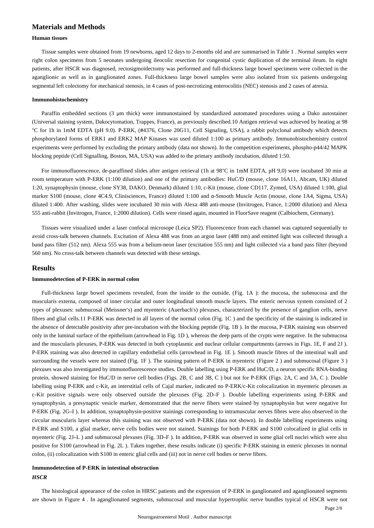### **Materials and Methods**

#### **Human tissues**

Tissue samples were obtained from 19 newborns, aged 12 days to 2-months old and are summarised in Table 1 . Normal samples were right colon specimens from 5 neonates undergoing ileocolic resection for congenital cystic duplication of the terminal ileum. In eight patients, after HSCR was diagnosed, rectosigmoïdectomy was performed and full-thickness large bowel specimens were collected in the aganglionic as well as in ganglionated zones. Full-thickness large bowel samples were also isolated from six patients undergoing segmental left colectomy for mechanical stenosis, in 4 cases of post-necrotizing enterocolitis (NEC) stenosis and 2 cases of atresia.

#### **Immunohistochemistry**

Paraffin embedded sections (3 μm thick) were immunostained by standardized automated procedures using a Dako autostainer (Universal staining system, Dakocytomation, Trappes, France), as previously described.10 Antigen retrieval was achieved by heating at 98 °C for 1h in 1mM EDTA (pH 9.0). P-ERK, (#4376, Clone 20G11, Cell Signaling, USA), a rabbit polyclonal antibody which detects phosphorylated forms of ERK1 and ERK2 MAP Kinases was used diluted 1:100 as primary antibody. Immunohistochemistry control experiments were performed by excluding the primary antibody (data not shown). In the competition experiments, phospho-p44/42 MAPK blocking peptide (Cell Signalling, Boston, MA, USA) was added to the primary antibody incubation, diluted 1:50.

For immunofluorescence, de-paraffined slides after antigen retrieval (1h at 98°C in 1mM EDTA, pH 9,0) were incubated 30 min at room temperature with P-ERK (1:100 dilution) and one of the primary antibodies: HuC/D (mouse, clone 16A11, Abcam, UK) diluted 1:20, synaptophysin (mouse, clone SY38, DAKO, Denmark) diluted 1:10, c-Kit (mouse, clone CD117, Zymed, USA) diluted 1:100, glial marker S100 (mouse, clone 4C4.9, Clinisciences, France) diluted 1:100 and α-Smooth Muscle Actin (mouse, clone 1A4, Sigma, USA) diluted 1:400. After washing, slides were incubated 30 min with Alexa 488 anti-mouse (Invitrogen, France, 1:2000 dilution) and Alexa 555 anti-rabbit (Invitrogen, France, 1:2000 dilution). Cells were rinsed again, mounted in FluorSave reagent (Calbiochem, Germany).

Tissues were visualized under a laser confocal microsope (Leica SP2). Fluorescence from each channel was captured sequentially to avoid cross-talk between channels. Excitation of Alexa 488 was from an argon laser (488 nm) and emitted light was collected through a band pass filter (512 nm). Alexa 555 was from a helium-neon laser (excitation 555 nm) and light collected via a band pass filter (beyond 560 nm). No cross-talk between channels was detected with these settings.

#### **Results**

#### **Immunodetection of P-ERK in normal colon**

Full-thickness large bowel specimens revealed, from the inside to the outside, (Fig. 1A ): the mucosa, the submucosa and the muscularis externa, composed of inner circular and outer longitudinal smooth muscle layers. The enteric nervous system consisted of 2 types of plexuses: submucosal (Meissner's) and myenteric (Auerbach's) plexuses, characterized by the presence of ganglion cells, nerve fibres and glial cells.11 P-ERK was detected in all layers of the normal colon (Fig. 1C ) and the specificity of the staining is indicated in the absence of detectable positivity after pre-incubation with the blocking peptide (Fig. 1B ). In the mucosa, P-ERK staining was observed only in the luminal surface of the epithelium (arrowhead in Fig. 1D ), whereas the deep parts of the crypts were negative. In the submucosa and the muscularis plexuses, P-ERK was detected in both cytoplasmic and nuclear cellular compartments (arrows in Figs. 1E, F and 2J ). P-ERK staining was also detected in capillary endothelial cells (arrowhead in Fig. 1E ). Smooth muscle fibres of the intestinal wall and surrounding the vessels were not stained (Fig. 1F). The staining pattern of P-ERK in myenteric (Figure 2) and submucosal (Figure 3) plexuses was also investigated by immunofluorescence studies. Double labelling using P-ERK and HuC/D, a neuron specific RNA-binding protein, showed staining for HuC/D in nerve cell bodies (Figs. 2B, C and 3B, C ) but not for P-ERK (Figs. 2A, C and 3A, C ). Double labelling using P-ERK and c-Kit, an interstitial cells of Cajal marker, indicated no P-ERK/c-Kit colocalization in myenteric plexuses as c-Kit positive signals were only observed outside the plexuses (Fig. 2D–F ). Double labelling experiments using P-ERK and synaptophysin, a presynaptic vesicle marker, demonstrated that the nerve fibers were stained by synaptophysin but were negative for P-ERK (Fig. 2G–I ). In addition, synaptophysin-positive stainings corresponding to intramuscular nerves fibres were also observed in the circular muscularis layer whereas this staining was not observed with P-ERK (data not shown). In double labelling experiments using P-ERK and S100, a glial marker, nerve cells bodies were not stained. Stainings for both P-ERK and S100 colocalized in glial cells in myenteric (Fig. 2J–L ) and submucosal plexuses (Fig. 3D–F ). In addition, P-ERK was observed in some glial cell nuclei which were also positive for S100 (arrowhead in Fig. 2L ). Taken together, these results indicate (i) specific P-ERK staining in enteric plexuses in normal colon, (ii) colocalization with S100 in enteric glial cells and (iii) not in nerve cell bodies or nerve fibres.

## **Immunodetection of P-ERK in intestinal obstruction** *HSCR*

The histological appearance of the colon in HRSC patients and the expression of P-ERK in ganglionated and aganglionated segments are shown in Figure 4 . In aganglionated segments, submucosal and muscular hypertrophic nerve bundles typical of HSCR were not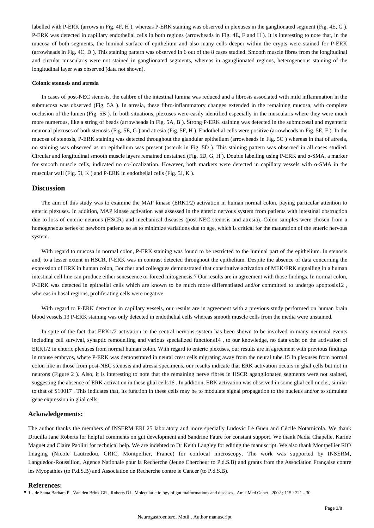labelled with P-ERK (arrows in Fig. 4F, H ), whereas P-ERK staining was observed in plexuses in the ganglionated segment (Fig. 4E, G ). P-ERK was detected in capillary endothelial cells in both regions (arrowheads in Fig. 4E, F and H ). It is interesting to note that, in the mucosa of both segments, the luminal surface of epithelium and also many cells deeper within the crypts were stained for P-ERK (arrowheads in Fig. 4C, D ). This staining pattern was observed in 6 out of the 8 cases studied. Smooth muscle fibres from the longitudinal and circular muscularis were not stained in ganglionated segments, whereas in aganglionated regions, heterogeneous staining of the longitudinal layer was observed (data not shown).

#### **Colonic stenosis and atresia**

In cases of post-NEC stenosis, the calibre of the intestinal lumina was reduced and a fibrosis associated with mild inflammation in the submucosa was observed (Fig. 5A ). In atresia, these fibro-inflammatory changes extended in the remaining mucosa, with complete occlusion of the lumen (Fig. 5B ). In both situations, plexuses were easily identified especially in the muscularis where they were much more numerous, like a string of beads (arrowheads in Fig. 5A, B ). Strong P-ERK staining was detected in the submucosal and myenteric neuronal plexuses of both stenosis (Fig. 5E, G ) and atresia (Fig. 5F, H ). Endothelial cells were positive (arrowheads in Fig. 5E, F ). In the mucosa of stenosis, P-ERK staining was detected throughout the glandular epithelium (arrowheads in Fig. 5C ) whereas in that of atresia, no staining was observed as no epithelium was present (asterik in Fig. 5D ). This staining pattern was observed in all cases studied. Circular and longitudinal smooth muscle layers remained unstained (Fig. 5D, G, H ). Double labelling using P-ERK and α-SMA, a marker for smooth muscle cells, indicated no co-localization. However, both markers were detected in capillary vessels with α-SMA in the muscular wall (Fig. 5I, K ) and P-ERK in endothelial cells (Fig. 5J, K ).

#### **Discussion**

The aim of this study was to examine the MAP kinase (ERK1/2) activation in human normal colon, paying particular attention to enteric plexuses. In addition, MAP kinase activation was assessed in the enteric nervous system from patients with intestinal obstruction due to loss of enteric neurons (HSCR) and mechanical diseases (post-NEC stenosis and atresia). Colon samples were chosen from a homogeneous series of newborn patients so as to minimize variations due to age, which is critical for the maturation of the enteric nervous system.

With regard to mucosa in normal colon, P-ERK staining was found to be restricted to the luminal part of the epithelium. In stenosis and, to a lesser extent in HSCR, P-ERK was in contrast detected throughout the epithelium. Despite the absence of data concerning the expression of ERK in human colon, Boucher and colleagues demonstrated that constitutive activation of MEK/ERK signalling in a human intestinal cell line can produce either senescence or forced mitogenesis.7 Our results are in agreement with those findings. In normal colon, P-ERK was detected in epithelial cells which are known to be much more differentiated and/or committed to undergo apoptosis12 , whereas in basal regions, proliferating cells were negative.

With regard to P-ERK detection in capillary vessels, our results are in agreement with a previous study performed on human brain blood vessels.13 P-ERK staining was only detected in endothelial cells whereas smooth muscle cells from the media were unstained.

In spite of the fact that ERK1/2 activation in the central nervous system has been shown to be involved in many neuronal events including cell survival, synaptic remodelling and various specialized functions14 , to our knowledge, no data exist on the activation of ERK1/2 in enteric plexuses from normal human colon. With regard to enteric plexuses, our results are in agreement with previous findings in mouse embryos, where P-ERK was demonstrated in neural crest cells migrating away from the neural tube.15 In plexuses from normal colon like in those from post-NEC stenosis and atresia specimens, our results indicate that ERK activation occurs in glial cells but not in neurons (Figure 2 ). Also, it is interesting to note that the remaining nerve fibres in HSCR aganglionated segments were not stained, suggesting the absence of ERK activation in these glial cells16 . In addition, ERK activation was observed in some glial cell nuclei, similar to that of S10017 . This indicates that, its function in these cells may be to modulate signal propagation to the nucleus and/or to stimulate gene expression in glial cells.

#### **Ackowledgements:**

The author thanks the members of INSERM ERI 25 laboratory and more specially Ludovic Le Guen and Cécile Notarnicola. We thank Drucilla Jane Roberts for helpful comments on gut development and Sandrine Faure for constant support. We thank Nadia Chapelle, Karine Maguet and Claire Paolini for technical help. We are indebted to Dr Keith Langley for editing the manuscript. We also thank Montpellier RIO Imaging (Nicole Lautredou, CRIC, Montpellier, France) for confocal microscopy. The work was supported by INSERM, Languedoc-Roussillon, Agence Nationale pour la Recherche (Jeune Chercheur to P.d.S.B) and grants from the Association Française contre les Myopathies (to P.d.S.B) and Association de Recherche contre le Cancer (to P.d.S.B).

#### **References:**

<sup>1</sup> 1 . de Santa Barbara P, Van den Brink GR, Roberts DJ. Molecular etiology of gut malformations and diseases . Am J Med Genet . 2002; 115 : 221 - 30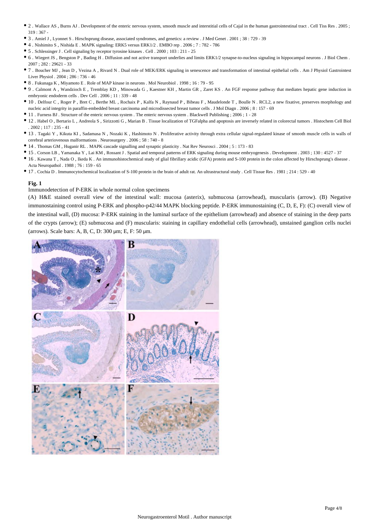- 2 . Wallace AS , Burns AJ . Development of the enteric nervous system, smooth muscle and interstitial cells of Cajal in the human gastrointestinal tract . Cell Tiss Res . 2005 ; 319 : 367 -
- 3 . Amiel J , Lyonnet S . Hirschsprung disease, associated syndromes, and genetics: a review . J Med Genet . 2001 ; 38 : 729 39
- 4 . Nishimito S , Nishida E . MAPK signaling: ERK5 versus ERK1/2 . EMBO rep . 2006 ; 7 : 782 786
- 5 . Schlessinger J . Cell signaling by receptor tyrosine kinases . Cell . 2000 ; 103 : 211 25
- 6 . Wiegert JS , Bengston P , Bading H . Diffusion and not active transport underlies and limits ERK1/2 synapse-to-nucleus signaling in hippocampal neurons . J Biol Chem . 2007 ; 282 : 29621 - 33
- 7 . Boucher MJ , Jean D , Vezina A , Rivard N . Dual role of MEK/ERK signaling in senescence and transformation of intestinal epithelial cells . Am J Physiol Gastrointest Liver Physiol . 2004 ; 286 : 736 - 46
- 8 . Fukunaga K , Miyamoto E . Role of MAP kinase in neurons . Mol Neurobiol . 1998 ; 16 : 79 95
- 9 . Calmont A , Wandzioch E , Tremblay KD , Minowada G , Kaestner KH , Martin GR , Zaret KS . An FGF response pathway that mediates hepatic gene induction in embryonic endoderm cells . Dev Cell . 2006 ; 11 : 339 - 48
- 10 . Delfour C , Roger P , Bret C , Berthe ML , Rochaix P , Kalfa N , Raynaud P , Bibeau F , Maudelonde T , Boulle N . RCL2, a new fixative, preserves morphology and nucleic acid integrity in paraffin-embedded breast carcinoma and microdissected breast tumor cells . J Mol Diagn . 2006 ; 8 : 157 - 69
- 11 . Furness BJ . Structure of the enteric nervous system . The enteric nervous system . Blackwell Publishing ; 2006 ; 1 28
- 12 . Habel O , Bertario L , Andreola S , Sirizzotti G , Marian B . Tissue localization of TGFalpha and apoptosis are inversely related in colorectal tumors . Histochem Cell Biol  $.2002:117:235-41$
- 13 . Tagaki Y , Kikuta KI , Sadamasa N , Nozaki K , Hashimoto N . Proliferative activity through extra cellular signal-regulated kinase of smooth muscle cells in walls of cerebral arteriovenous malformations . Neurosurgery . 2006 ; 58 : 740 - 8
- 14 . Thomas GM , Huganir RL . MAPK cascade signalling and synaptic plasticity . Nat Rev Neurosci . 2004 ; 5 : 173 83
- 15 . Corson LB , Yamanaka Y , Lai KM , Rossant J . Spatial and temporal patterns of ERK signaling during mouse embryogenesis . Development . 2003 ; 130 : 4527 37
- 16 . Kawana T , Nada O , Ikeda K . An immunohistochemical study of glial fibrillary acidic (GFA) protein and S-100 protein in the colon affected by Hirschsprung's disease . Acta Neuropathol . 1988 ; 76 : 159 - 65
- 17 . Cochia D . Immunocytochemical localization of S-100 protein in the brain of adult rat. An ultrastructural study . Cell Tissue Res . 1981 ; 214 : 529 40

#### Immunodetection of P-ERK in whole normal colon specimens

(A) H&E stained overall view of the intestinal wall: mucosa (asterix), submucosa (arrowhead), muscularis (arrow). (B) Negative immunostaining control using P-ERK and phospho-p42/44 MAPK blocking peptide. P-ERK immunostaining (C, D, E, F): (C) overall view of the intestinal wall, (D) mucosa: P-ERK staining in the luminal surface of the epithelium (arrowhead) and absence of staining in the deep parts of the crypts (arrow); (E) submucosa and (F) muscularis: staining in capillary endothelial cells (arrowhead), unstained ganglion cells nuclei (arrows). Scale bars: A, B, C, D: 300 μm; E, F: 50 μm.

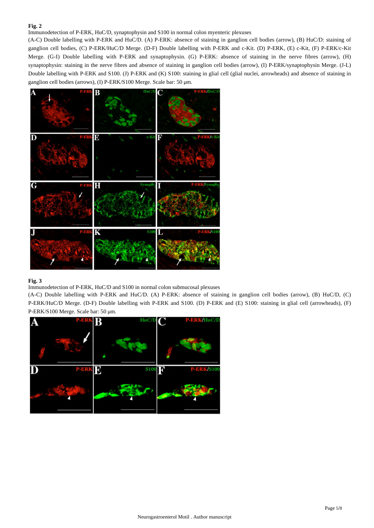Immunodetection of P-ERK, HuC/D, synaptophysin and S100 in normal colon myenteric plexuses

(A-C) Double labelling with P-ERK and HuC/D. (A) P-ERK: absence of staining in ganglion cell bodies (arrow), (B) HuC/D: staining of ganglion cell bodies, (C) P-ERK/HuC/D Merge. (D-F) Double labelling with P-ERK and c-Kit. (D) P-ERK, (E) c-Kit, (F) P-ERK/c-Kit Merge. (G-I) Double labelling with P-ERK and synaptophysin. (G) P-ERK: absence of staining in the nerve fibres (arrow), (H) synaptophysin: staining in the nerve fibres and absence of staining in ganglion cell bodies (arrow), (I) P-ERK/synaptophysin Merge. (J-L) Double labelling with P-ERK and S100. (J) P-ERK and (K) S100: staining in glial cell (glial nuclei, arrowheads) and absence of staining in ganglion cell bodies (arrows), (I) P-ERK/S100 Merge. Scale bar: 50 μm.



### **Fig. 3**

Immunodetection of P-ERK, HuC/D and S100 in normal colon submucosal plexuses

(A-C) Double labelling with P-ERK and HuC/D. (A) P-ERK: absence of staining in ganglion cell bodies (arrow), (B) HuC/D, (C) P-ERK/HuC/D Merge. (D-F) Double labelling with P-ERK and S100. (D) P-ERK and (E) S100: staining in glial cell (arrowheads), (F) P-ERK/S100 Merge. Scale bar: 50 μm.

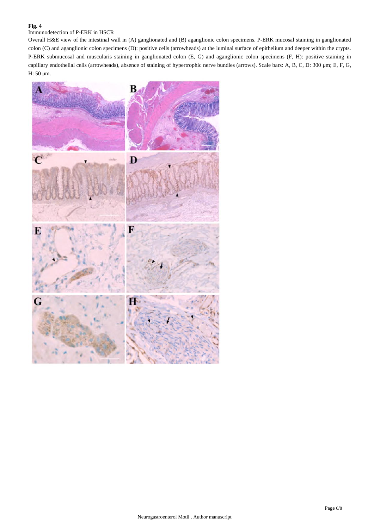## Immunodetection of P-ERK in HSCR

Overall H&E view of the intestinal wall in (A) ganglionated and (B) aganglionic colon specimens. P-ERK mucosal staining in ganglionated colon (C) and aganglionic colon specimens (D): positive cells (arrowheads) at the luminal surface of epithelium and deeper within the crypts. P-ERK submucosal and muscularis staining in ganglionated colon (E, G) and aganglionic colon specimens (F, H): positive staining in capillary endothelial cells (arrowheads), absence of staining of hypertrophic nerve bundles (arrows). Scale bars: A, B, C, D: 300 μm; E, F, G, H: 50 μm.

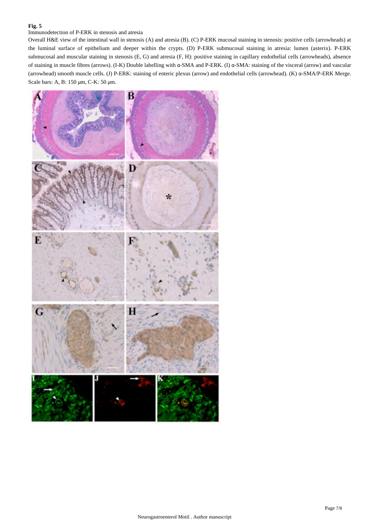### Immunodetection of P-ERK in stenosis and atresia

Overall H&E view of the intestinal wall in stenosis (A) and atresia (B). (C) P-ERK mucosal staining in stenosis: positive cells (arrowheads) at the luminal surface of epithelium and deeper within the crypts. (D) P-ERK submucosal staining in atresia: lumen (asterix). P-ERK submucosal and muscular staining in stenosis (E, G) and atresia (F, H): positive staining in capillary endothelial cells (arrowheads), absence of staining in muscle fibres (arrows). (I-K) Double labelling with α-SMA and P-ERK. (I) α-SMA: staining of the visceral (arrow) and vascular (arrowhead) smooth muscle cells. (J) P-ERK: staining of enteric plexus (arrow) and endothelial cells (arrowhead). (K) α-SMA/P-ERK Merge. Scale bars: A, B: 150 μm, C-K: 50 μm.